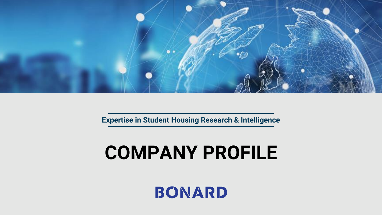

**Expertise in Student Housing Research & Intelligence**

# **COMPANY PROFILE**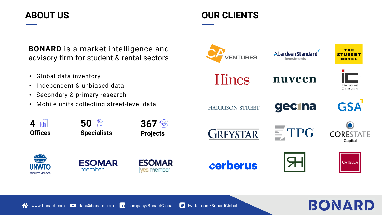## **ABOUT US OUR CLIENTS**



- Global data inventory
- Independent & unbiased data
- Secondary & primary research
- Mobile units collecting street-level data

**Specialists**

 $\circledcirc$ 

**50**





**Offices**

齫

**4**





**367 Projects** 

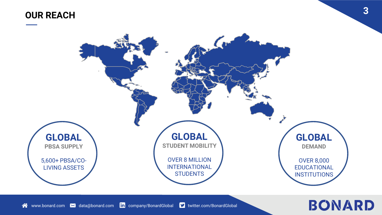# **OUR REACH <sup>3</sup>**

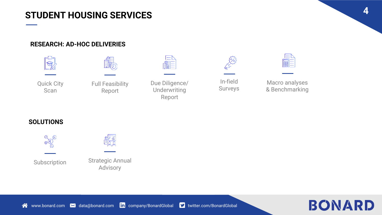### **STUDENT HOUSING SERVICES**

#### **RESEARCH: AD-HOC DELIVERIES**





In-field Surveys



Macro analyses & Benchmarking

**SOLUTIONS**



Subscription





**4**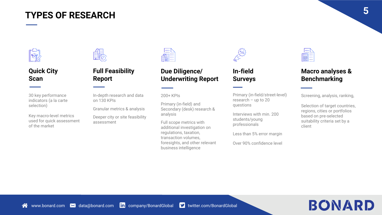# **TYPES OF RESEARCH <sup>5</sup>**



#### **Quick City Scan**

30 key performance indicators (a la carte selection)

Key macro-level metrics used for quick assessment of the market



#### **Full Feasibility Report**

In-depth research and data on 130 KPIs

Granular metrics & analysis

Deeper city or site feasibility assessment

#### **Due Diligence/ Underwriting Report**

200+ KPIs

Primary (in-field) and Secondary (desk) research & analysis

Full scope metrics with additional investigation on regulations, taxation, transaction volumes, foresights, and other relevant business intelligence



#### **In-field Surveys**

Primary (in-field/street-level) research – up to 20 questions

Interviews with min. 200 students/young professionals

Less than 5% error margin

Over 90% confidence level



#### **Macro analyses & Benchmarking**

Screening, analysis, ranking,

Selection of target countries. regions, cities or portfolios based on pre-selected suitability criteria set by a client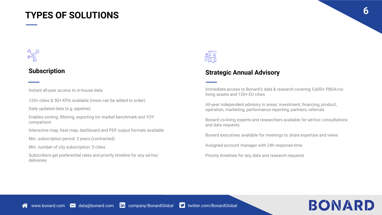### **TYPES OF SOLUTIONS <sup>6</sup>**



#### **Subscription**

Instant all-year access to in-house data

120+ cities & 50+ KPIs available (more can be added to order)

Daily updated data (e.g. pipeline)

Enables sorting, filtering, exporting for market benchmark and YOY comparison

Interactive map, heat map, dashboard and PDF output formats available

Min. subscription period: 2 years (contracted)

Min. number of city subscription: 5 cities

Subscribers get preferential rates and priority timeline for any ad-hoc deliveries



#### **Strategic Annual Advisory**

Immediate access to Bonard's data & research covering 5,600+ PBSA/coliving assets and 120+ EU cities

All-year independent advisory in areas: investment, financing, product, operation, marketing, performance reporting, partners, referrals

Bonard co-living experts and researchers available for ad-hoc consultations and data requests

Bonard executives available for meetings to share expertise and views

Assigned account manager with 24h response time

Priority timelines for any data and research requests

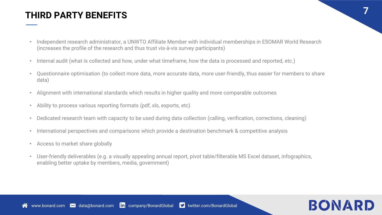## **THIRD PARTY BENEFITS**

- Independent research administrator, a UNWTO Affiliate Member with individual memberships in ESOMAR World Research (increases the profile of the research and thus trust vis-à-vis survey participants)
- Internal audit (what is collected and how, under what timeframe, how the data is processed and reported, etc.)
- Questionnaire optimisation (to collect more data, more accurate data, more user-friendly, thus easier for members to share data)
- Alignment with international standards which results in higher quality and more comparable outcomes
- Ability to process various reporting formats (pdf, xls, exports, etc)
- Dedicated research team with capacity to be used during data collection (calling, verification, corrections, cleaning)
- International perspectives and comparisons which provide a destination benchmark & competitive analysis
- Access to market share globally
- User-friendly deliverables (e.g. a visually appealing annual report, pivot table/filterable MS Excel dataset, infographics, enabling better uptake by members, media, government)



**7**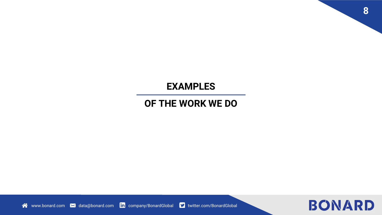## **EXAMPLES**

## **OF THE WORK WE DO**



**8**

www.bonard.com **M** data@bonard.com **in** company/BonardGlobal **v** twitter.com/BonardGlobal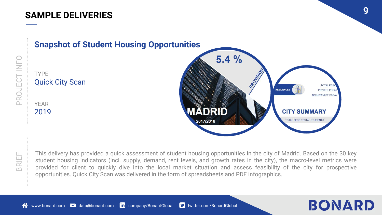

TYPE Quick City Scan

YEAR 2019



PROJECT INFO

This delivery has provided a quick assessment of student housing opportunities in the city of Madrid. Based on the 30 key student housing indicators (incl. supply, demand, rent levels, and growth rates in the city), the macro-level metrics were provided for client to quickly dive into the local market situation and assess feasibility of the city for prospective opportunities. Quick City Scan was delivered in the form of spreadsheets and PDF infographics.



**TOTAL PE** 

**PRIVATE PBS/ NON-PRIVATE PBSA**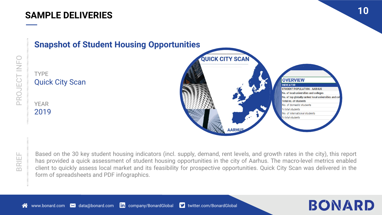



TYPE

YEAR 2019

Quick City Scan

BRIEF

Based on the 30 key student housing indicators (incl. supply, demand, rent levels, and growth rates in the city), this report has provided a quick assessment of student housing opportunities in the city of Aarhus. The macro-level metrics enabled client to quickly assess local market and its feasibility for prospective opportunities. Quick City Scan was delivered in the form of spreadsheets and PDF infographics.

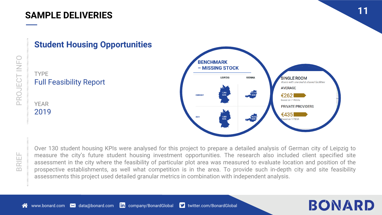

#### **Student Housing Opportunities**

#### TYPE Full Feasibility Report

YEAR 2019



Over 130 student housing KPIs were analysed for this project to prepare a detailed analysis of German city of Leipzig to measure the city's future student housing investment opportunities. The research also included client specified site assessment in the city where the feasibility of particular plot area was measured to evaluate location and position of the prospective establishments, as well what competition is in the area. To provide such in-depth city and site feasibility assessments this project used detailed granular metrics in combination with independent analysis.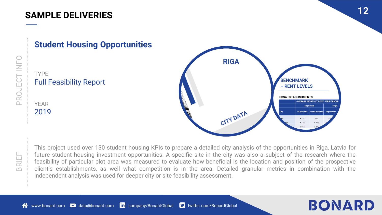**Student Housing Opportunities**



TYPE Full Feasibility Report

YEAR 2019

BRIEF

This project used over 130 student housing KPIs to prepare a detailed city analysis of the opportunities in Riga, Latvia for future student housing investment opportunities. A specific site in the city was also a subject of the research where the feasibility of particular plot area was measured to evaluate how beneficial is the location and position of the prospective client's establishments, as well what competition is in the area. Detailed granular metrics in combination with the independent analysis was used for deeper city or site feasibility assessment.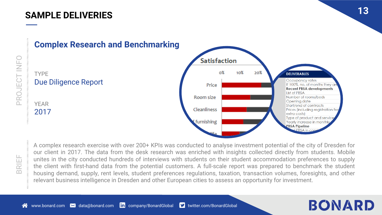

#### **Complex Research and Benchmarking**

PROJECT INFO

A complex research exercise with over 200+ KPIs was conducted to analyse investment potential of the city of Dresden for our client in 2017. The data from the desk research was enriched with insights collected directly from students. Mobile unites in the city conducted hundreds of interviews with students on their student accommodation preferences to supply the client with first-hand data from the potential customers. A full-scale report was prepared to benchmark the student housing demand, supply, rent levels, student preferences regulations, taxation, transaction volumes, foresights, and other relevant business intelligence in Dresden and other European cities to assess an opportunity for investment.

 $L$ PRSA in cor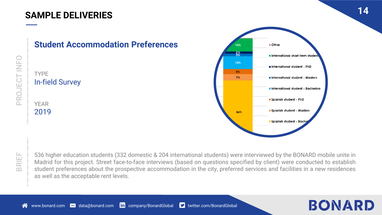



PROJECT INFO

536 higher education students (332 domestic & 204 international students) were interviewed by the BONARD mobile unite in Madrid for this project. Street face-to-face interviews (based on questions specified by client) were conducted to establish student preferences about the prospective accommodation in the city, preferred services and facilities in a new residences as well as the acceptable rent levels.

#### 谷 www.bonard.com **M** data@bonard.com **in** company/BonardGlobal **M** twitter.com/BonardGlobal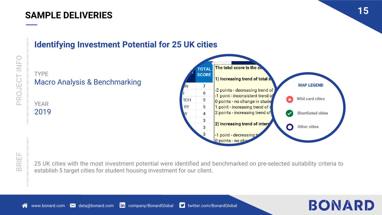

# **Identifying Investment Potential for 25 UK cities**

# Macro Analysis & Benchmarking

YEAR 2019

TYPE

BRIEF

PROJECT INFO

25 UK cities with the most investment potential were identified and benchmarked on pre-selected suitability criteria to establish 5 target cities for student housing investment for our client.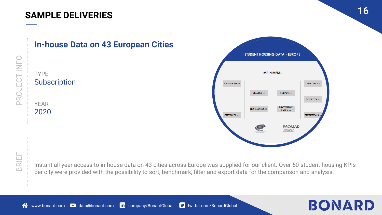



Instant all-year access to in-house data on 43 cities across Europe was supplied for our client. Over 50 student housing KPIs per city were provided with the possibility to sort, benchmark, filter and export data for the comparison and analysis.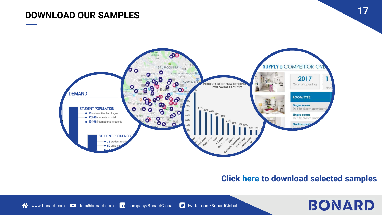# **DOWNLOAD OUR SAMPLES 17**



#### **Click [here](https://bonard.com/samples/) to download selected samples**